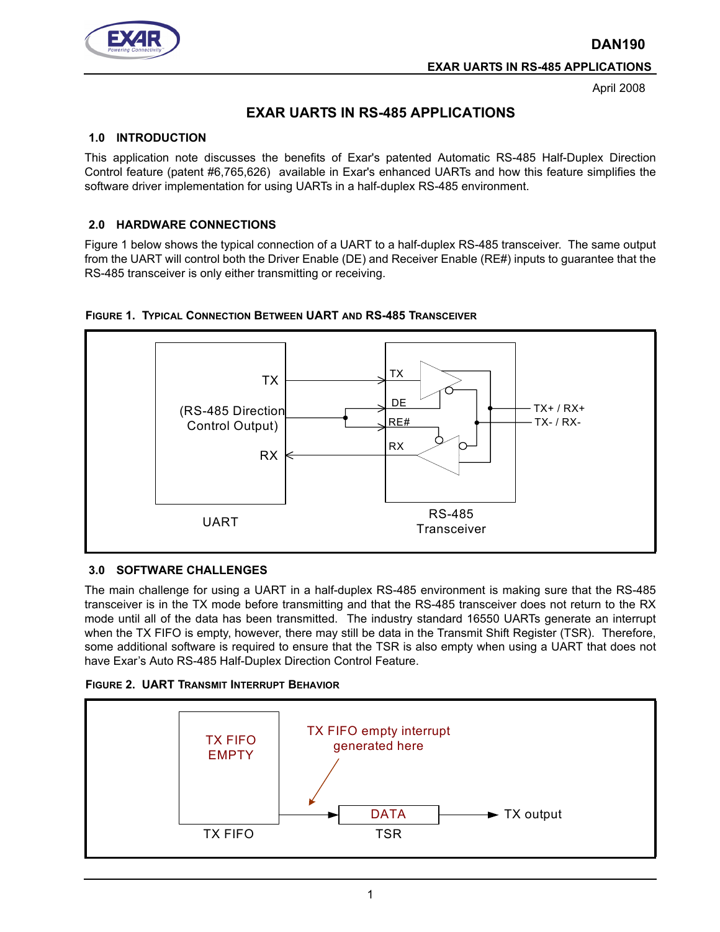**DAN190**



**EXAR UARTS IN RS-485 APPLICATIONS**

April 2008

# **EXAR UARTS IN RS-485 APPLICATIONS**

### **1.0 INTRODUCTION**

This application note discusses the benefits of Exar's patented Automatic RS-485 Half-Duplex Direction Control feature (patent #6,765,626) available in Exar's enhanced UARTs and how this feature simplifies the software driver implementation for using UARTs in a half-duplex RS-485 environment.

### **2.0 HARDWARE CONNECTIONS**

Figure 1 below shows the typical connection of a UART to a half-duplex RS-485 transceiver. The same output from the UART will control both the Driver Enable (DE) and Receiver Enable (RE#) inputs to guarantee that the RS-485 transceiver is only either transmitting or receiving.





#### **3.0 SOFTWARE CHALLENGES**

The main challenge for using a UART in a half-duplex RS-485 environment is making sure that the RS-485 transceiver is in the TX mode before transmitting and that the RS-485 transceiver does not return to the RX mode until all of the data has been transmitted. The industry standard 16550 UARTs generate an interrupt when the TX FIFO is empty, however, there may still be data in the Transmit Shift Register (TSR). Therefore, some additional software is required to ensure that the TSR is also empty when using a UART that does not have Exar's Auto RS-485 Half-Duplex Direction Control Feature.



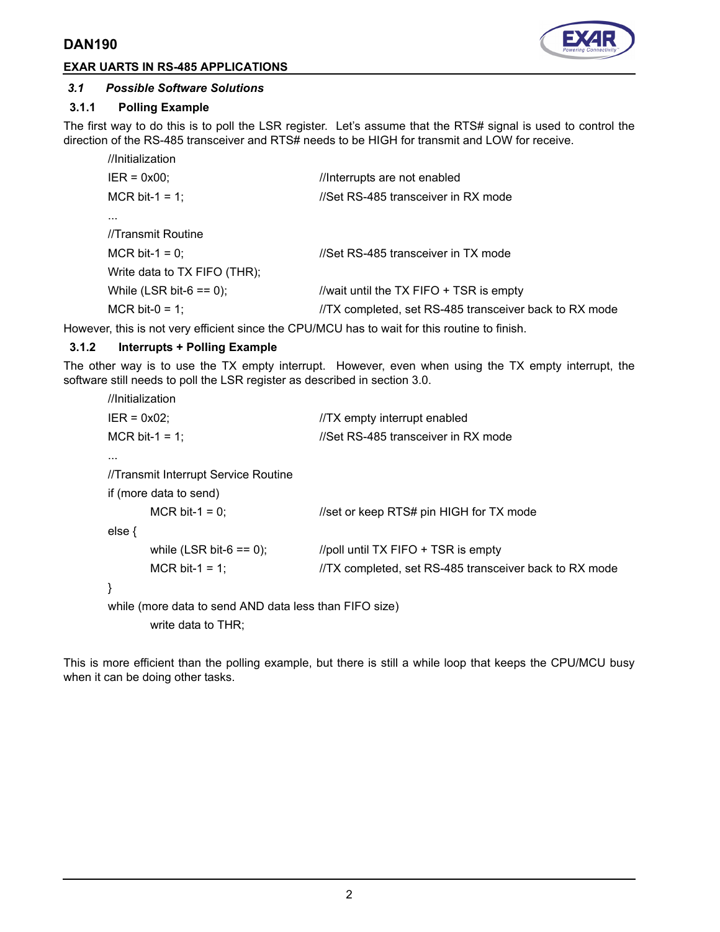# **DAN190**





### *3.1 Possible Software Solutions*

### **3.1.1 Polling Example**

The first way to do this is to poll the LSR register. Let's assume that the RTS# signal is used to control the direction of the RS-485 transceiver and RTS# needs to be HIGH for transmit and LOW for receive.

| //Initialization             |                                                        |
|------------------------------|--------------------------------------------------------|
| $IER = 0x00;$                | //Interrupts are not enabled                           |
| MCR bit-1 = 1;               | //Set RS-485 transceiver in RX mode                    |
| $\cdots$                     |                                                        |
| //Transmit Routine           |                                                        |
| MCR bit-1 = 0;               | //Set RS-485 transceiver in TX mode                    |
| Write data to TX FIFO (THR); |                                                        |
| While (LSR bit- $6 == 0$ );  | //wait until the TX FIFO + TSR is empty                |
| MCR bit-0 = 1;               | //TX completed, set RS-485 transceiver back to RX mode |

However, this is not very efficient since the CPU/MCU has to wait for this routine to finish.

#### **3.1.2 Interrupts + Polling Example**

The other way is to use the TX empty interrupt. However, even when using the TX empty interrupt, the software still needs to poll the LSR register as described in section 3.0.

| //Initialization                                       |                                                        |
|--------------------------------------------------------|--------------------------------------------------------|
| $IER = 0x02$                                           | //TX empty interrupt enabled                           |
| MCR bit-1 = 1;                                         | //Set RS-485 transceiver in RX mode                    |
| $\cdots$                                               |                                                        |
| //Transmit Interrupt Service Routine                   |                                                        |
| if (more data to send)                                 |                                                        |
| MCR bit-1 = 0:                                         | //set or keep RTS# pin HIGH for TX mode                |
| else $\{$                                              |                                                        |
| while (LSR bit-6 $== 0$ );                             | //poll until TX FIFO + TSR is empty                    |
| MCR bit-1 = 1;                                         | //TX completed, set RS-485 transceiver back to RX mode |
| }                                                      |                                                        |
| while (more data to send AND data less than FIFO size) |                                                        |
|                                                        |                                                        |

write data to THR;

This is more efficient than the polling example, but there is still a while loop that keeps the CPU/MCU busy when it can be doing other tasks.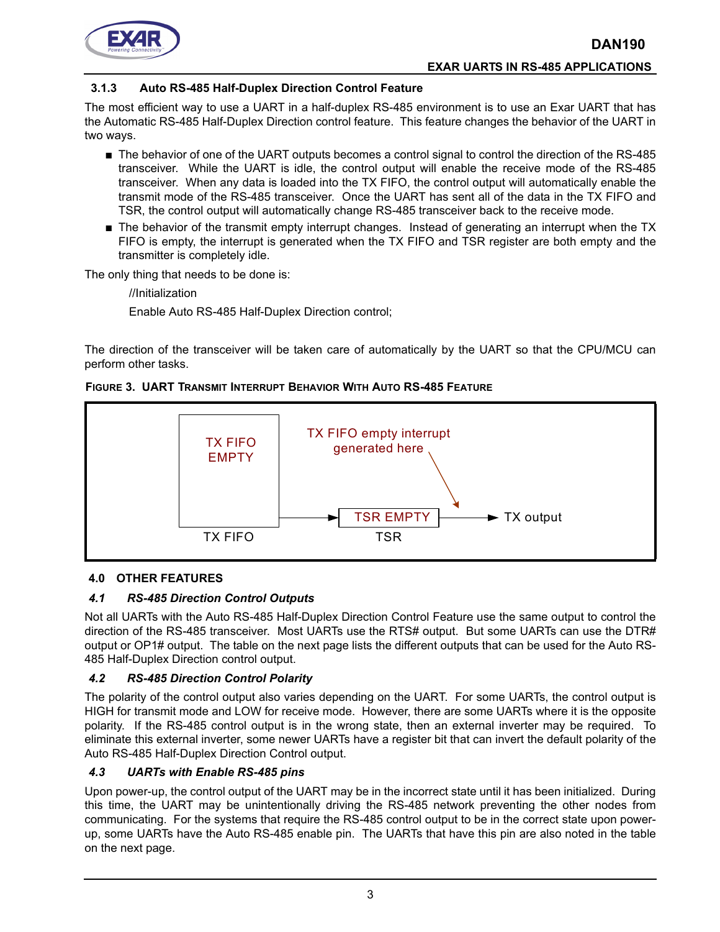

# **EXAR UARTS IN RS-485 APPLICATIONS**

### **3.1.3 Auto RS-485 Half-Duplex Direction Control Feature**

The most efficient way to use a UART in a half-duplex RS-485 environment is to use an Exar UART that has the Automatic RS-485 Half-Duplex Direction control feature. This feature changes the behavior of the UART in two ways.

- The behavior of one of the UART outputs becomes a control signal to control the direction of the RS-485 transceiver. While the UART is idle, the control output will enable the receive mode of the RS-485 transceiver. When any data is loaded into the TX FIFO, the control output will automatically enable the transmit mode of the RS-485 transceiver. Once the UART has sent all of the data in the TX FIFO and TSR, the control output will automatically change RS-485 transceiver back to the receive mode.
- The behavior of the transmit empty interrupt changes. Instead of generating an interrupt when the TX FIFO is empty, the interrupt is generated when the TX FIFO and TSR register are both empty and the transmitter is completely idle.

The only thing that needs to be done is:

//Initialization

Enable Auto RS-485 Half-Duplex Direction control;

The direction of the transceiver will be taken care of automatically by the UART so that the CPU/MCU can perform other tasks.





# **4.0 OTHER FEATURES**

# *4.1 RS-485 Direction Control Outputs*

Not all UARTs with the Auto RS-485 Half-Duplex Direction Control Feature use the same output to control the direction of the RS-485 transceiver. Most UARTs use the RTS# output. But some UARTs can use the DTR# output or OP1# output. The table on the next page lists the different outputs that can be used for the Auto RS-485 Half-Duplex Direction control output.

#### *4.2 RS-485 Direction Control Polarity*

The polarity of the control output also varies depending on the UART. For some UARTs, the control output is HIGH for transmit mode and LOW for receive mode. However, there are some UARTs where it is the opposite polarity. If the RS-485 control output is in the wrong state, then an external inverter may be required. To eliminate this external inverter, some newer UARTs have a register bit that can invert the default polarity of the Auto RS-485 Half-Duplex Direction Control output.

# *4.3 UARTs with Enable RS-485 pins*

Upon power-up, the control output of the UART may be in the incorrect state until it has been initialized. During this time, the UART may be unintentionally driving the RS-485 network preventing the other nodes from communicating. For the systems that require the RS-485 control output to be in the correct state upon powerup, some UARTs have the Auto RS-485 enable pin. The UARTs that have this pin are also noted in the table on the next page.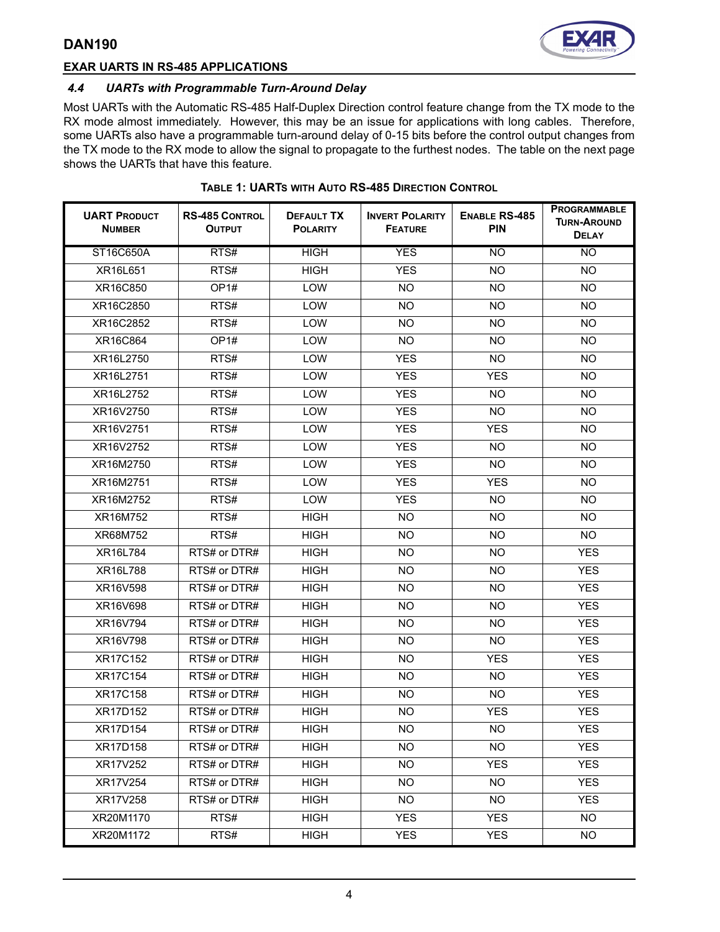



# **EXAR UARTS IN RS-485 APPLICATIONS**

### *4.4 UARTs with Programmable Turn-Around Delay*

Most UARTs with the Automatic RS-485 Half-Duplex Direction control feature change from the TX mode to the RX mode almost immediately. However, this may be an issue for applications with long cables. Therefore, some UARTs also have a programmable turn-around delay of 0-15 bits before the control output changes from the TX mode to the RX mode to allow the signal to propagate to the furthest nodes. The table on the next page shows the UARTs that have this feature.

| <b>UART PRODUCT</b><br><b>NUMBER</b> | <b>RS-485 CONTROL</b><br><b>OUTPUT</b> | DEFAULT TX<br><b>POLARITY</b> | <b>INVERT POLARITY</b><br><b>FEATURE</b> | <b>ENABLE RS-485</b><br><b>PIN</b> | <b>PROGRAMMABLE</b><br><b>TURN-AROUND</b><br><b>DELAY</b> |
|--------------------------------------|----------------------------------------|-------------------------------|------------------------------------------|------------------------------------|-----------------------------------------------------------|
| ST16C650A                            | RTS#                                   | <b>HIGH</b>                   | <b>YES</b>                               | <b>NO</b>                          | NO                                                        |
| XR16L651                             | RTS#                                   | <b>HIGH</b>                   | <b>YES</b>                               | <b>NO</b>                          | <b>NO</b>                                                 |
| XR16C850                             | OP <sub>1#</sub>                       | LOW                           | <b>NO</b>                                | <b>NO</b>                          | NO.                                                       |
| XR16C2850                            | RTS#                                   | <b>LOW</b>                    | NO.                                      | NO.                                | <b>NO</b>                                                 |
| XR16C2852                            | RTS#                                   | <b>LOW</b>                    | <b>NO</b>                                | <b>NO</b>                          | <b>NO</b>                                                 |
| XR16C864                             | OP <sub>1#</sub>                       | LOW                           | <b>NO</b>                                | <b>NO</b>                          | NO.                                                       |
| XR16L2750                            | RTS#                                   | LOW                           | <b>YES</b>                               | <b>NO</b>                          | NO.                                                       |
| XR16L2751                            | RTS#                                   | <b>LOW</b>                    | <b>YES</b>                               | <b>YES</b>                         | <b>NO</b>                                                 |
| XR16L2752                            | RTS#                                   | <b>LOW</b>                    | <b>YES</b>                               | <b>NO</b>                          | <b>NO</b>                                                 |
| XR16V2750                            | RTS#                                   | LOW                           | <b>YES</b>                               | <b>NO</b>                          | NO.                                                       |
| XR16V2751                            | RTS#                                   | LOW                           | <b>YES</b>                               | <b>YES</b>                         | <b>NO</b>                                                 |
| XR16V2752                            | RTS#                                   | <b>LOW</b>                    | <b>YES</b>                               | <b>NO</b>                          | <b>NO</b>                                                 |
| XR16M2750                            | RTS#                                   | LOW                           | <b>YES</b>                               | <b>NO</b>                          | <b>NO</b>                                                 |
| XR16M2751                            | RTS#                                   | LOW                           | <b>YES</b>                               | <b>YES</b>                         | NO.                                                       |
| XR16M2752                            | RTS#                                   | LOW                           | <b>YES</b>                               | <b>NO</b>                          | NO.                                                       |
| XR16M752                             | RTS#                                   | <b>HIGH</b>                   | NO.                                      | <b>NO</b>                          | <b>NO</b>                                                 |
| XR68M752                             | RTS#                                   | <b>HIGH</b>                   | <b>NO</b>                                | <b>NO</b>                          | NO.                                                       |
| XR16L784                             | RTS# or DTR#                           | <b>HIGH</b>                   | <b>NO</b>                                | <b>NO</b>                          | <b>YES</b>                                                |
| XR16L788                             | RTS# or DTR#                           | <b>HIGH</b>                   | <b>NO</b>                                | <b>NO</b>                          | <b>YES</b>                                                |
| XR16V598                             | RTS# or DTR#                           | <b>HIGH</b>                   | <b>NO</b>                                | NO.                                | <b>YES</b>                                                |
| XR16V698                             | RTS# or DTR#                           | <b>HIGH</b>                   | <b>NO</b>                                | <b>NO</b>                          | <b>YES</b>                                                |
| XR16V794                             | RTS# or DTR#                           | <b>HIGH</b>                   | <b>NO</b>                                | NO.                                | <b>YES</b>                                                |
| XR16V798                             | RTS# or DTR#                           | <b>HIGH</b>                   | <b>NO</b>                                | <b>NO</b>                          | <b>YES</b>                                                |
| <b>XR17C152</b>                      | RTS# or DTR#                           | <b>HIGH</b>                   | <b>NO</b>                                | <b>YES</b>                         | <b>YES</b>                                                |
| XR17C154                             | RTS# or DTR#                           | <b>HIGH</b>                   | <b>NO</b>                                | <b>NO</b>                          | <b>YES</b>                                                |
| XR17C158                             | RTS# or DTR#                           | <b>HIGH</b>                   | <b>NO</b>                                | NO.                                | <b>YES</b>                                                |
| XR17D152                             | RTS# or DTR#                           | <b>HIGH</b>                   | <b>NO</b>                                | <b>YES</b>                         | <b>YES</b>                                                |
| XR17D154                             | RTS# or DTR#                           | <b>HIGH</b>                   | NO                                       | <b>NO</b>                          | <b>YES</b>                                                |
| XR17D158                             | RTS# or DTR#                           | <b>HIGH</b>                   | <b>NO</b>                                | NO.                                | <b>YES</b>                                                |
| XR17V252                             | RTS# or DTR#                           | <b>HIGH</b>                   | NO                                       | <b>YES</b>                         | <b>YES</b>                                                |
| XR17V254                             | RTS# or DTR#                           | <b>HIGH</b>                   | <b>NO</b>                                | <b>NO</b>                          | <b>YES</b>                                                |
| XR17V258                             | RTS# or DTR#                           | <b>HIGH</b>                   | NO                                       | NO.                                | <b>YES</b>                                                |
| XR20M1170                            | RTS#                                   | <b>HIGH</b>                   | <b>YES</b>                               | <b>YES</b>                         | <b>NO</b>                                                 |
| XR20M1172                            | RTS#                                   | <b>HIGH</b>                   | <b>YES</b>                               | <b>YES</b>                         | NO                                                        |

#### **TABLE 1: UARTS WITH AUTO RS-485 DIRECTION CONTROL**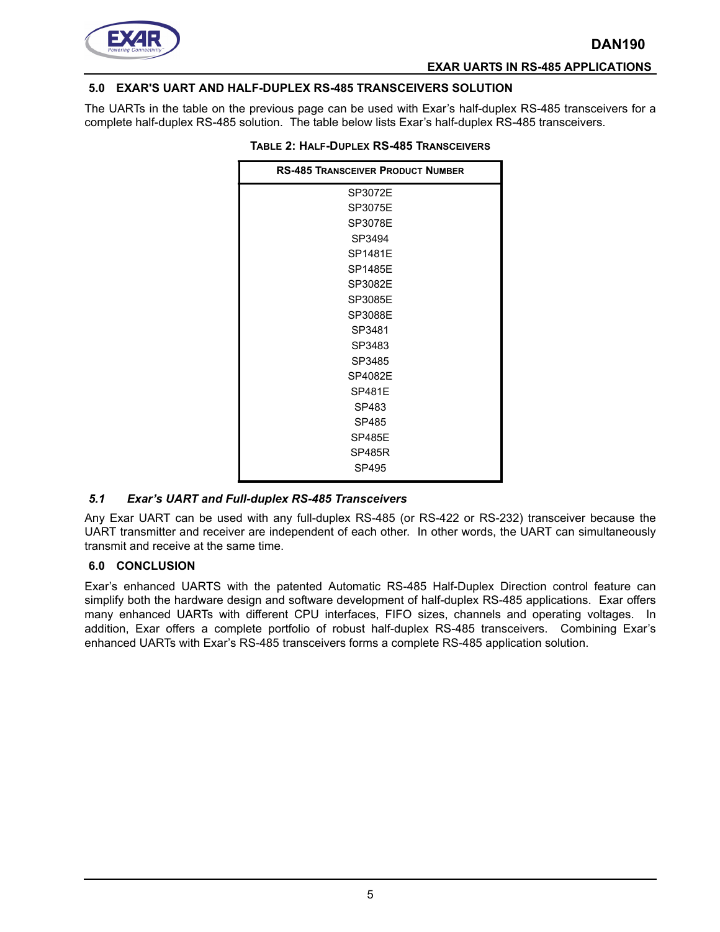

#### **EXAR UARTS IN RS-485 APPLICATIONS**

#### **5.0 EXAR'S UART AND HALF-DUPLEX RS-485 TRANSCEIVERS SOLUTION**

The UARTs in the table on the previous page can be used with Exar's half-duplex RS-485 transceivers for a complete half-duplex RS-485 solution. The table below lists Exar's half-duplex RS-485 transceivers.

| <b>RS-485 TRANSCEIVER PRODUCT NUMBER</b> |  |
|------------------------------------------|--|
| SP3072E                                  |  |
| SP3075E                                  |  |
| SP3078E                                  |  |
| SP3494                                   |  |
| SP1481F                                  |  |
| <b>SP1485E</b>                           |  |
| SP3082E                                  |  |
| SP3085E                                  |  |
| SP3088E                                  |  |
| SP3481                                   |  |
| SP3483                                   |  |
| SP3485                                   |  |
| SP4082E                                  |  |
| <b>SP481F</b>                            |  |
| SP483                                    |  |
| SP485                                    |  |
| <b>SP485F</b>                            |  |
| <b>SP485R</b>                            |  |
| SP495                                    |  |

#### **TABLE 2: HALF-DUPLEX RS-485 TRANSCEIVERS**

#### *5.1 Exar's UART and Full-duplex RS-485 Transceivers*

Any Exar UART can be used with any full-duplex RS-485 (or RS-422 or RS-232) transceiver because the UART transmitter and receiver are independent of each other. In other words, the UART can simultaneously transmit and receive at the same time.

#### **6.0 CONCLUSION**

Exar's enhanced UARTS with the patented Automatic RS-485 Half-Duplex Direction control feature can simplify both the hardware design and software development of half-duplex RS-485 applications. Exar offers many enhanced UARTs with different CPU interfaces, FIFO sizes, channels and operating voltages. In addition, Exar offers a complete portfolio of robust half-duplex RS-485 transceivers. Combining Exar's enhanced UARTs with Exar's RS-485 transceivers forms a complete RS-485 application solution.